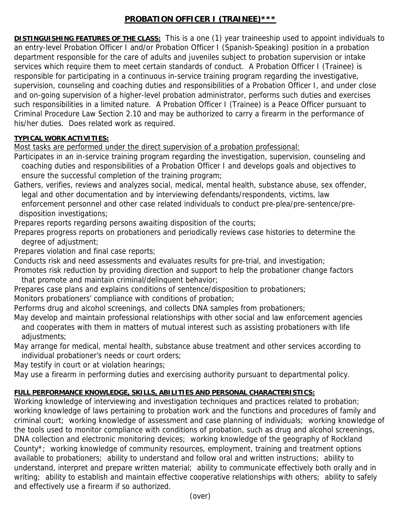## **PROBATION OFFICER I (TRAINEE)\*\*\***

**DISTINGUISHING FEATURES OF THE CLASS:** This is a one (1) year traineeship used to appoint individuals to an entry-level Probation Officer I and/or Probation Officer I (Spanish-Speaking) position in a probation department responsible for the care of adults and juveniles subject to probation supervision or intake services which require them to meet certain standards of conduct. A Probation Officer I (Trainee) is responsible for participating in a continuous in-service training program regarding the investigative, supervision, counseling and coaching duties and responsibilities of a Probation Officer I, and under close and on-going supervision of a higher-level probation administrator, performs such duties and exercises such responsibilities in a limited nature. A Probation Officer I (Trainee) is a Peace Officer pursuant to Criminal Procedure Law Section 2.10 and may be authorized to carry a firearm in the performance of his/her duties. Does related work as required.

### **TYPICAL WORK ACTIVITIES:**

Most tasks are performed under the direct supervision of a probation professional:

- Participates in an in-service training program regarding the investigation, supervision, counseling and coaching duties and responsibilities of a Probation Officer I and develops goals and objectives to ensure the successful completion of the training program;
- Gathers, verifies, reviews and analyzes social, medical, mental health, substance abuse, sex offender, legal and other documentation and by interviewing defendants/respondents, victims, law enforcement personnel and other case related individuals to conduct pre-plea/pre-sentence/pre disposition investigations;

Prepares reports regarding persons awaiting disposition of the courts;

Prepares progress reports on probationers and periodically reviews case histories to determine the degree of adjustment;

Prepares violation and final case reports;

Conducts risk and need assessments and evaluates results for pre-trial, and investigation;

- Promotes risk reduction by providing direction and support to help the probationer change factors that promote and maintain criminal/delinquent behavior;
- Prepares case plans and explains conditions of sentence/disposition to probationers;

Monitors probationers' compliance with conditions of probation;

- Performs drug and alcohol screenings, and collects DNA samples from probationers;
- May develop and maintain professional relationships with other social and law enforcement agencies and cooperates with them in matters of mutual interest such as assisting probationers with life adiustments;
- May arrange for medical, mental health, substance abuse treatment and other services according to individual probationer's needs or court orders;

May testify in court or at violation hearings;

May use a firearm in performing duties and exercising authority pursuant to departmental policy.

# **FULL PERFORMANCE KNOWLEDGE, SKILLS, ABILITIES AND PERSONAL CHARACTERISTICS:**

Working knowledge of interviewing and investigation techniques and practices related to probation; working knowledge of laws pertaining to probation work and the functions and procedures of family and criminal court; working knowledge of assessment and case planning of individuals; working knowledge of the tools used to monitor compliance with conditions of probation, such as drug and alcohol screenings, DNA collection and electronic monitoring devices; working knowledge of the geography of Rockland County\*; working knowledge of community resources, employment, training and treatment options available to probationers; ability to understand and follow oral and written instructions; ability to understand, interpret and prepare written material; ability to communicate effectively both orally and in writing; ability to establish and maintain effective cooperative relationships with others; ability to safely and effectively use a firearm if so authorized.